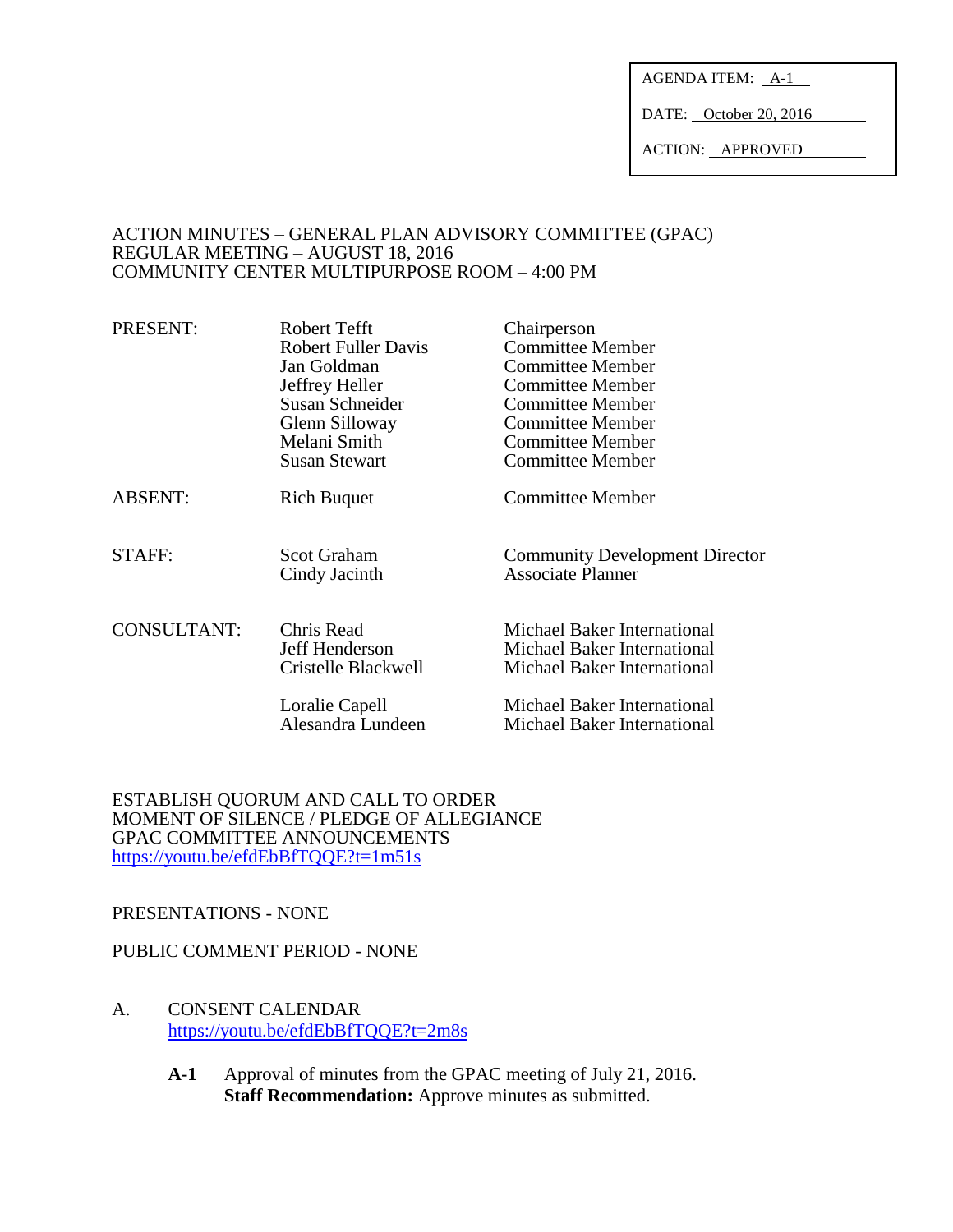AGENDA ITEM:  $A-1$ 

DATE: October 20, 2016

ACTION: APPROVED

#### ACTION MINUTES – GENERAL PLAN ADVISORY COMMITTEE (GPAC) REGULAR MEETING – AUGUST 18, 2016 COMMUNITY CENTER MULTIPURPOSE ROOM – 4:00 PM

| PRESENT:           | Robert Tefft                        | Chairperson                                                |
|--------------------|-------------------------------------|------------------------------------------------------------|
|                    | <b>Robert Fuller Davis</b>          | <b>Committee Member</b>                                    |
|                    | Jan Goldman                         | <b>Committee Member</b>                                    |
|                    | Jeffrey Heller                      | <b>Committee Member</b>                                    |
|                    | Susan Schneider                     | <b>Committee Member</b>                                    |
|                    | Glenn Silloway                      | <b>Committee Member</b>                                    |
|                    | Melani Smith                        | <b>Committee Member</b>                                    |
|                    | <b>Susan Stewart</b>                | Committee Member                                           |
| <b>ABSENT:</b>     | <b>Rich Buquet</b>                  | Committee Member                                           |
| STAFF:             | <b>Scot Graham</b><br>Cindy Jacinth | <b>Community Development Director</b><br>Associate Planner |
| <b>CONSULTANT:</b> | Chris Read                          | Michael Baker International                                |
|                    | Jeff Henderson                      | Michael Baker International                                |
|                    | Cristelle Blackwell                 | Michael Baker International                                |
|                    | Loralie Capell                      | Michael Baker International                                |
|                    | Alesandra Lundeen                   | Michael Baker International                                |

ESTABLISH QUORUM AND CALL TO ORDER MOMENT OF SILENCE / PLEDGE OF ALLEGIANCE GPAC COMMITTEE ANNOUNCEMENTS <https://youtu.be/efdEbBfTQQE?t=1m51s>

#### PRESENTATIONS - NONE

#### PUBLIC COMMENT PERIOD - NONE

- A. CONSENT CALENDAR <https://youtu.be/efdEbBfTQQE?t=2m8s>
	- **A-1** Approval of minutes from the GPAC meeting of July 21, 2016. **Staff Recommendation:** Approve minutes as submitted.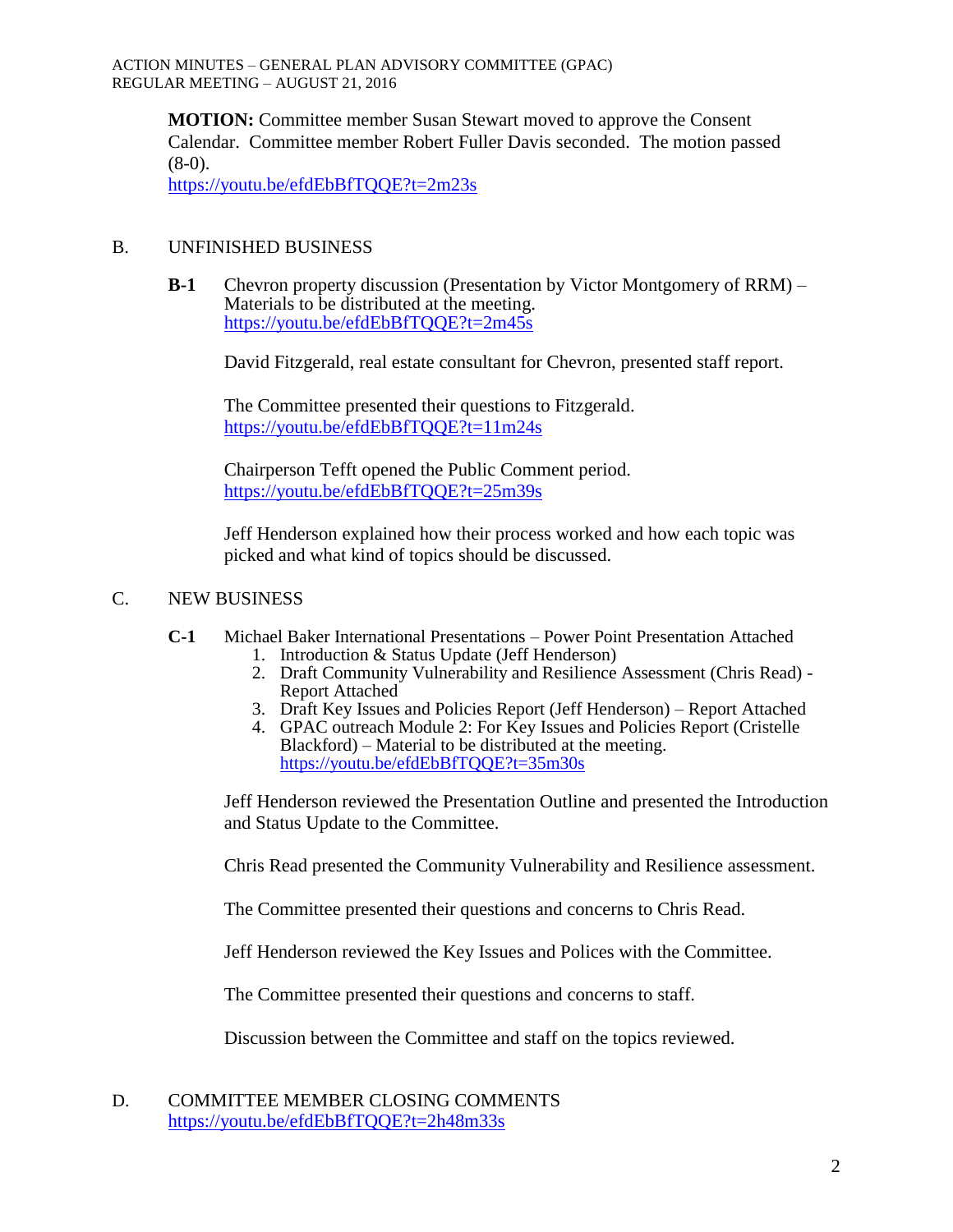**MOTION:** Committee member Susan Stewart moved to approve the Consent Calendar. Committee member Robert Fuller Davis seconded. The motion passed  $(8-0)$ .

<https://youtu.be/efdEbBfTQQE?t=2m23s>

# B. UNFINISHED BUSINESS

**B-1** Chevron property discussion (Presentation by Victor Montgomery of RRM) – Materials to be distributed at the meeting. <https://youtu.be/efdEbBfTQQE?t=2m45s>

David Fitzgerald, real estate consultant for Chevron, presented staff report.

The Committee presented their questions to Fitzgerald. <https://youtu.be/efdEbBfTQQE?t=11m24s>

Chairperson Tefft opened the Public Comment period. <https://youtu.be/efdEbBfTQQE?t=25m39s>

Jeff Henderson explained how their process worked and how each topic was picked and what kind of topics should be discussed.

# C. NEW BUSINESS

- **C-1** Michael Baker International Presentations Power Point Presentation Attached
	- 1. Introduction & Status Update (Jeff Henderson)
	- 2. Draft Community Vulnerability and Resilience Assessment (Chris Read) Report Attached
	- 3. Draft Key Issues and Policies Report (Jeff Henderson) Report Attached
	- 4. GPAC outreach Module 2: For Key Issues and Policies Report (Cristelle Blackford) – Material to be distributed at the meeting. <https://youtu.be/efdEbBfTQQE?t=35m30s>

Jeff Henderson reviewed the Presentation Outline and presented the Introduction and Status Update to the Committee.

Chris Read presented the Community Vulnerability and Resilience assessment.

The Committee presented their questions and concerns to Chris Read.

Jeff Henderson reviewed the Key Issues and Polices with the Committee.

The Committee presented their questions and concerns to staff.

Discussion between the Committee and staff on the topics reviewed.

D. COMMITTEE MEMBER CLOSING COMMENTS <https://youtu.be/efdEbBfTQQE?t=2h48m33s>